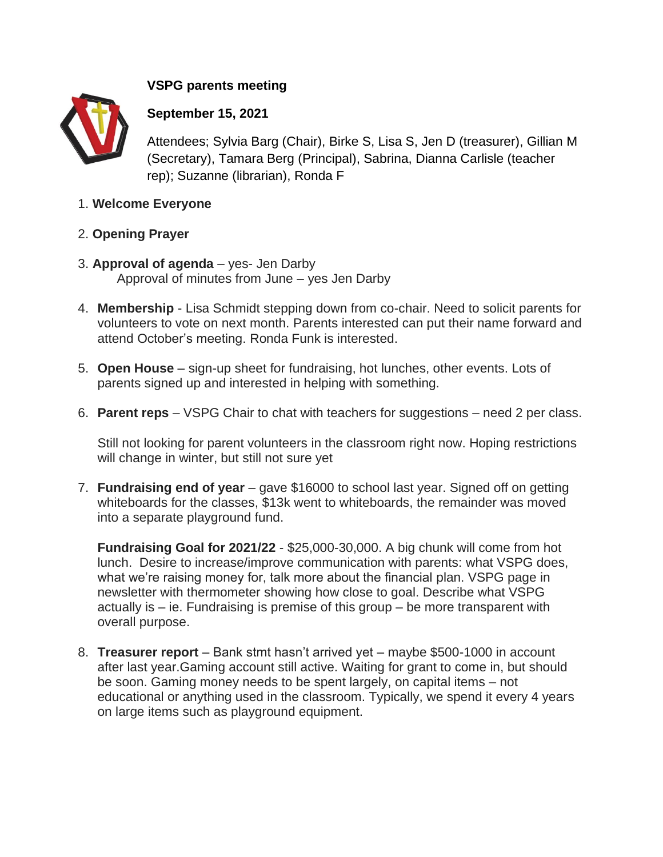## **VSPG parents meeting**



## **September 15, 2021**

Attendees; Sylvia Barg (Chair), Birke S, Lisa S, Jen D (treasurer), Gillian M (Secretary), Tamara Berg (Principal), Sabrina, Dianna Carlisle (teacher rep); Suzanne (librarian), Ronda F

- 1. **Welcome Everyone**
- 2. **Opening Prayer**
- 3. **Approval of agenda** yes- Jen Darby Approval of minutes from June – yes Jen Darby
- 4. **Membership** Lisa Schmidt stepping down from co-chair. Need to solicit parents for volunteers to vote on next month. Parents interested can put their name forward and attend October's meeting. Ronda Funk is interested.
- 5. **Open House** sign-up sheet for fundraising, hot lunches, other events. Lots of parents signed up and interested in helping with something.
- 6. **Parent reps** VSPG Chair to chat with teachers for suggestions need 2 per class.

Still not looking for parent volunteers in the classroom right now. Hoping restrictions will change in winter, but still not sure yet

7. **Fundraising end of year** – gave \$16000 to school last year. Signed off on getting whiteboards for the classes, \$13k went to whiteboards, the remainder was moved into a separate playground fund.

**Fundraising Goal for 2021/22** - \$25,000-30,000. A big chunk will come from hot lunch. Desire to increase/improve communication with parents: what VSPG does, what we're raising money for, talk more about the financial plan. VSPG page in newsletter with thermometer showing how close to goal. Describe what VSPG actually is – ie. Fundraising is premise of this group – be more transparent with overall purpose.

8. **Treasurer report** – Bank stmt hasn't arrived yet – maybe \$500-1000 in account after last year.Gaming account still active. Waiting for grant to come in, but should be soon. Gaming money needs to be spent largely, on capital items – not educational or anything used in the classroom. Typically, we spend it every 4 years on large items such as playground equipment.